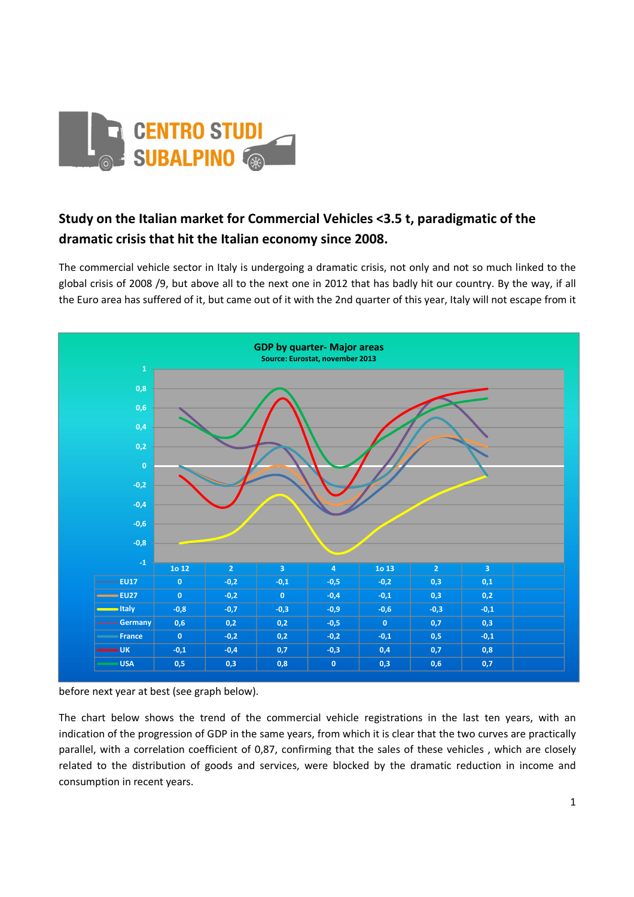

## Study on the Italian market for Commercial Vehicles <3.5 t, paradigmatic of the dramatic crisis that hit the Italian economy since 2008.

The commercial vehicle sector in Italy is undergoing a dramatic crisis, not only and not so much linked to the global crisis of 2008 /9, but above all to the next one in 2012 that has badly hit our country. By the way, if all the Euro area has suffered of it, but came out of it with the 2nd quarter of this year, Italy will not escape from it



before next year at best (see graph below).

The chart below shows the trend of the commercial vehicle registrations in the last ten years, with an indication of the progression of GDP in the same years, from which it is clear that the two curves are practically parallel, with a correlation coefficient of 0,87, confirming that the sales of these vehicles , which are closely related to the distribution of goods and services, were blocked by the dramatic reduction in income and consumption in recent years.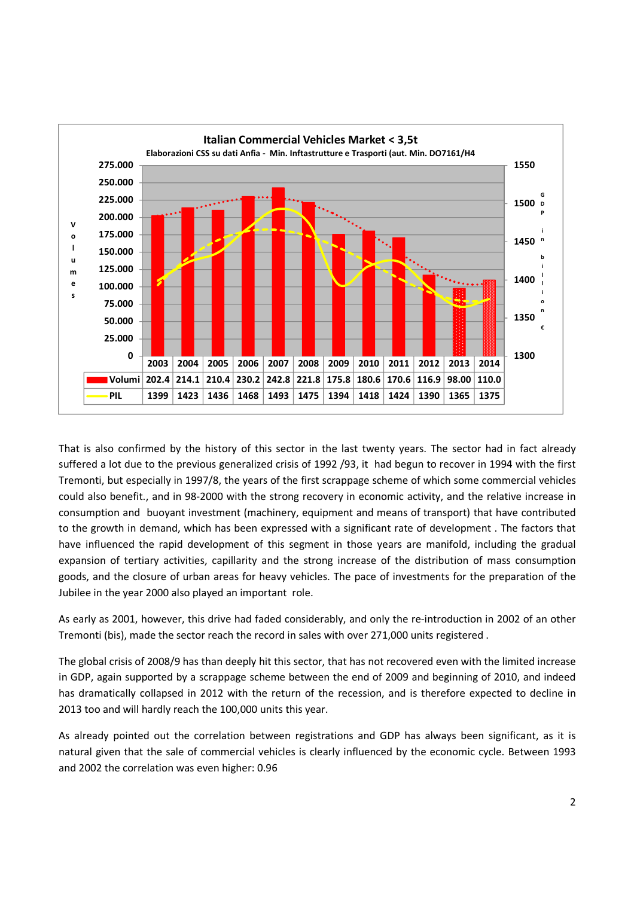

That is also confirmed by the history of this sector in the last twenty years. The sector had in fact already suffered a lot due to the previous generalized crisis of 1992 /93, it had begun to recover in 1994 with the first Tremonti, but especially in 1997/8, the years of the first scrappage scheme of which some commercial vehicles could also benefit., and in 98-2000 with the strong recovery in economic activity, and the relative increase in consumption and buoyant investment (machinery, equipment and means of transport) that have contributed to the growth in demand, which has been expressed with a significant rate of development . The factors that have influenced the rapid development of this segment in those years are manifold, including the gradual expansion of tertiary activities, capillarity and the strong increase of the distribution of mass consumption goods, and the closure of urban areas for heavy vehicles. The pace of investments for the preparation of the Jubilee in the year 2000 also played an important role.

As early as 2001, however, this drive had faded considerably, and only the re-introduction in 2002 of an other Tremonti (bis), made the sector reach the record in sales with over 271,000 units registered .

The global crisis of 2008/9 has than deeply hit this sector, that has not recovered even with the limited increase in GDP, again supported by a scrappage scheme between the end of 2009 and beginning of 2010, and indeed has dramatically collapsed in 2012 with the return of the recession, and is therefore expected to decline in 2013 too and will hardly reach the 100,000 units this year.

As already pointed out the correlation between registrations and GDP has always been significant, as it is natural given that the sale of commercial vehicles is clearly influenced by the economic cycle. Between 1993 and 2002 the correlation was even higher: 0.96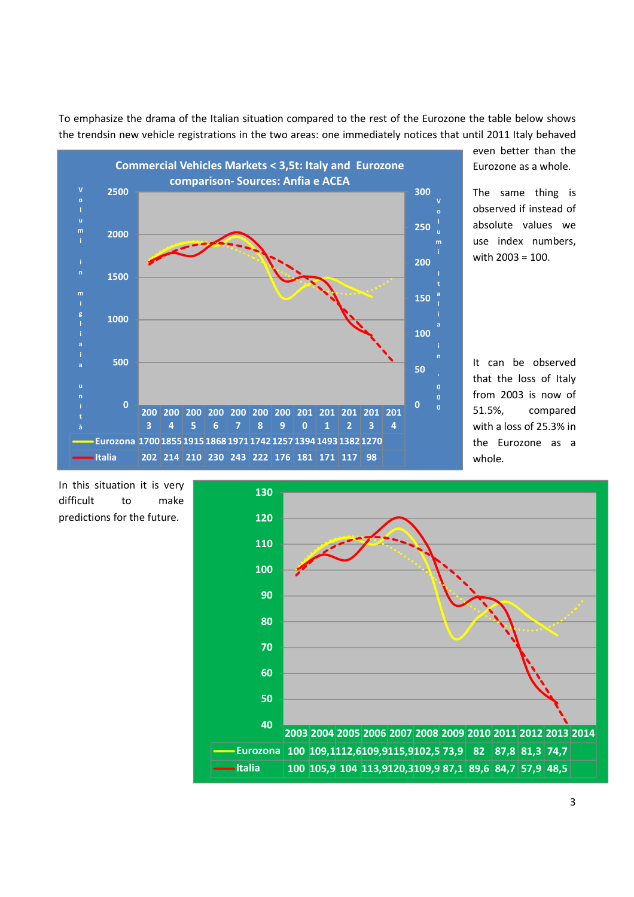200 200 200 200 200 200 200 201 201 201 3 4 5 6 8 9  $\mathbf{0}$ 1 2 201 201 3 4 Eurozona 170018551915 1868 1971 1742 1257 1394 1493 13821270 Italia 202 214 210 230 243 222 176 181 171 117 98  $\overline{0}$ 50 100 150 200 250 300  $\mathbf 0$ 500 1000 1500 2000 2500 V o l u m i I t a l i a i n 0 0  $\mathbf{0}$ V o l u m i i n m i g l i a i a u n i t à Commercial Vehicles Markets < 3,5t: Italy and Eurozone comparison- Sources: Anfia e ACEA

To emphasize the drama of the Italian situation compared to the rest of the Eurozone the table below shows the trendsin new vehicle registrations in the two areas: one immediately notices that until 2011 Italy behaved

even better than the Eurozone as a whole.

The same thing is observed if instead of absolute values we use index numbers, with 2003 = 100.

It can be observed that the loss of Italy from 2003 is now of 51.5%, compared with a loss of 25.3% in the Eurozone as a whole.



In this situation it is very difficult to make predictions for the future.